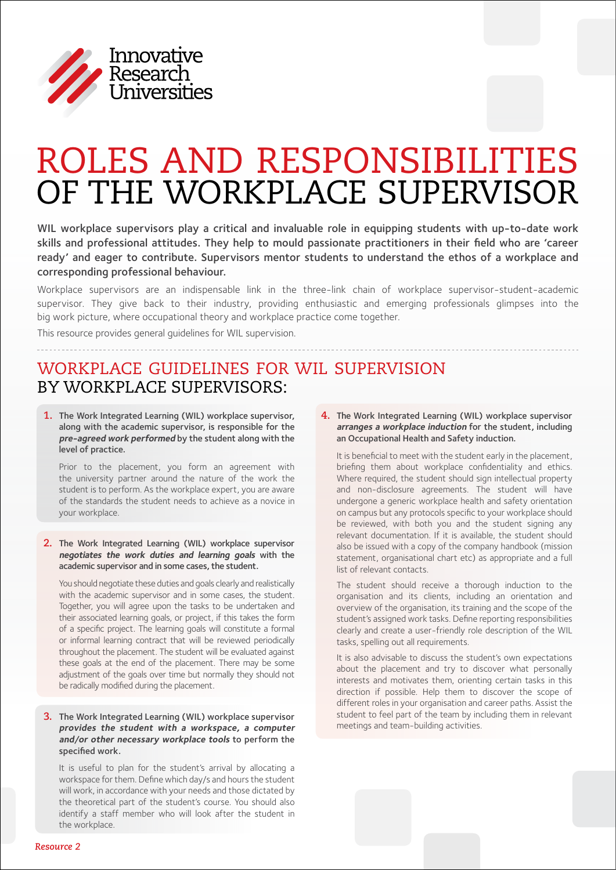

# Roles and Responsibilities of the Workplace Supervisor

WIL workplace supervisors play a critical and invaluable role in equipping students with up-to-date work skills and professional attitudes. They help to mould passionate practitioners in their field who are 'career ready' and eager to contribute. Supervisors mentor students to understand the ethos of a workplace and corresponding professional behaviour.

Workplace supervisors are an indispensable link in the three-link chain of workplace supervisor-student-academic supervisor. They give back to their industry, providing enthusiastic and emerging professionals glimpses into the big work picture, where occupational theory and workplace practice come together.

This resource provides general guidelines for WIL supervision.

## Workplace Guidelines for WIL Supervision by Workplace Supervisors:

1. The Work Integrated Learning (WIL) workplace supervisor, along with the academic supervisor, is responsible for the **pre-agreed work performed** by the student along with the level of practice.

Prior to the placement, you form an agreement with the university partner around the nature of the work the student is to perform. As the workplace expert, you are aware of the standards the student needs to achieve as a novice in your workplace.

### **2.** The Work Integrated Learning (WIL) workplace supervisor **negotiates the work duties and learning goals** with the academic supervisor and in some cases, the student.

You should negotiate these duties and goals clearly and realistically with the academic supervisor and in some cases, the student. Together, you will agree upon the tasks to be undertaken and their associated learning goals, or project, if this takes the form of a specific project. The learning goals will constitute a formal or informal learning contract that will be reviewed periodically throughout the placement. The student will be evaluated against these goals at the end of the placement. There may be some adjustment of the goals over time but normally they should not be radically modified during the placement.

### **3.** The Work Integrated Learning (WIL) workplace supervisor **provides the student with a workspace, a computer and/or other necessary workplace tools** to perform the specified work.

It is useful to plan for the student's arrival by allocating a workspace for them. Define which day/s and hours the student will work, in accordance with your needs and those dictated by the theoretical part of the student's course. You should also identify a staff member who will look after the student in the workplace.

**4.** The Work Integrated Learning (WIL) workplace supervisor **arranges a workplace induction** for the student, including an Occupational Health and Safety induction.

It is beneficial to meet with the student early in the placement, briefing them about workplace confidentiality and ethics. Where required, the student should sign intellectual property and non-disclosure agreements. The student will have undergone a generic workplace health and safety orientation on campus but any protocols specific to your workplace should be reviewed, with both you and the student signing any relevant documentation. If it is available, the student should also be issued with a copy of the company handbook (mission statement, organisational chart etc) as appropriate and a full list of relevant contacts.

The student should receive a thorough induction to the organisation and its clients, including an orientation and overview of the organisation, its training and the scope of the student's assigned work tasks. Define reporting responsibilities clearly and create a user-friendly role description of the WIL tasks, spelling out all requirements.

It is also advisable to discuss the student's own expectations about the placement and try to discover what personally interests and motivates them, orienting certain tasks in this direction if possible. Help them to discover the scope of different roles in your organisation and career paths. Assist the student to feel part of the team by including them in relevant meetings and team-building activities.